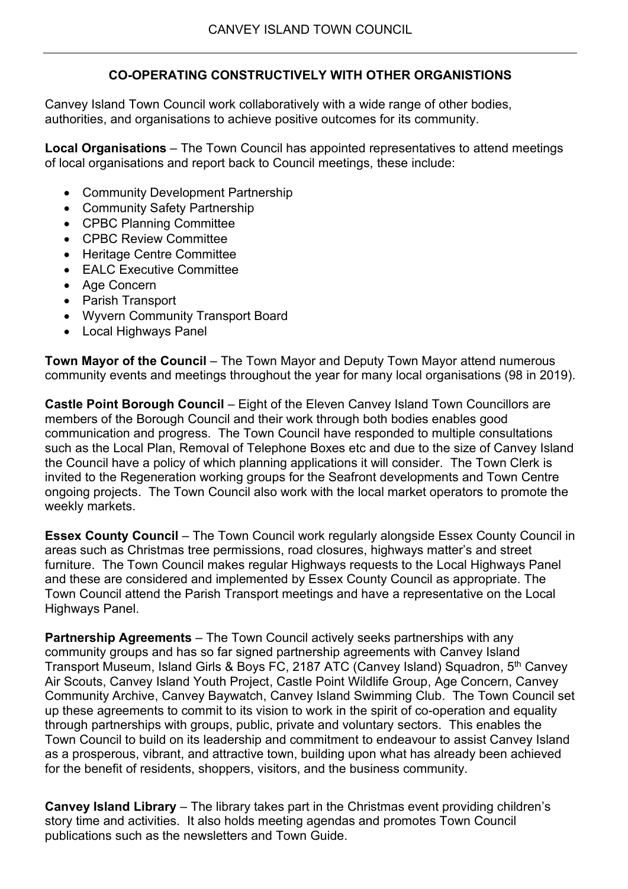## **CO-OPERATING CONSTRUCTIVELY WITH OTHER ORGANISTIONS**

Canvey Island Town Council work collaboratively with a wide range of other bodies, authorities, and organisations to achieve positive outcomes for its community.

**Local Organisations** – The Town Council has appointed representatives to attend meetings of local organisations and report back to Council meetings, these include:

- Community Development Partnership
- Community Safety Partnership
- CPBC Planning Committee
- CPBC Review Committee
- Heritage Centre Committee
- EALC Executive Committee
- Age Concern
- Parish Transport
- Wyvern Community Transport Board
- Local Highways Panel

**Town Mayor of the Council** – The Town Mayor and Deputy Town Mayor attend numerous community events and meetings throughout the year for many local organisations (98 in 2019).

**Castle Point Borough Council** – Eight of the Eleven Canvey Island Town Councillors are members of the Borough Council and their work through both bodies enables good communication and progress. The Town Council have responded to multiple consultations such as the Local Plan, Removal of Telephone Boxes etc and due to the size of Canvey Island the Council have a policy of which planning applications it will consider. The Town Clerk is invited to the Regeneration working groups for the Seafront developments and Town Centre ongoing projects. The Town Council also work with the local market operators to promote the weekly markets.

**Essex County Council** – The Town Council work regularly alongside Essex County Council in areas such as Christmas tree permissions, road closures, highways matter's and street furniture. The Town Council makes regular Highways requests to the Local Highways Panel and these are considered and implemented by Essex County Council as appropriate. The Town Council attend the Parish Transport meetings and have a representative on the Local Highways Panel.

**Partnership Agreements** – The Town Council actively seeks partnerships with any community groups and has so far signed partnership agreements with Canvey Island Transport Museum, Island Girls & Boys FC, 2187 ATC (Canvey Island) Squadron, 5<sup>th</sup> Canvey Air Scouts, Canvey Island Youth Project, Castle Point Wildlife Group, Age Concern, Canvey Community Archive, Canvey Baywatch, Canvey Island Swimming Club. The Town Council set up these agreements to commit to its vision to work in the spirit of co-operation and equality through partnerships with groups, public, private and voluntary sectors. This enables the Town Council to build on its leadership and commitment to endeavour to assist Canvey Island as a prosperous, vibrant, and attractive town, building upon what has already been achieved for the benefit of residents, shoppers, visitors, and the business community.

**Canvey Island Library** – The library takes part in the Christmas event providing children's story time and activities. It also holds meeting agendas and promotes Town Council publications such as the newsletters and Town Guide.